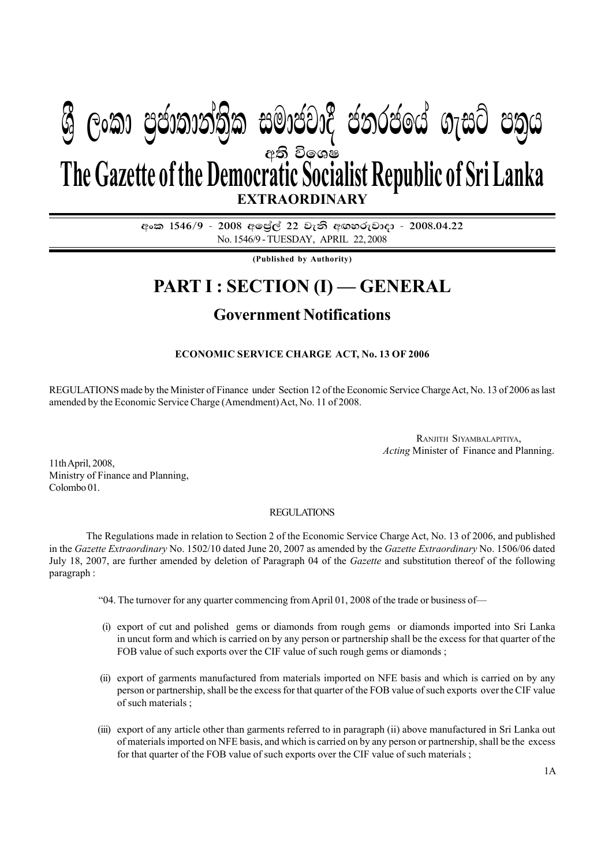# අති විඉශ**ෂ EXTRAORDINARY The Gazette of the Democratic Socialist Republic of Sri Lanka W Geibrea, mocdic charge in cold m**

අංක 1546/9 - 2008 අලේල් 22 වැනි අඟහරුවාදා - 2008.04.22 No. 1546/9 - TUESDAY, APRIL 22, 2008

**(Published by Authority)**

## **PART I : SECTION (I) — GENERAL**

### **Government Notifications**

### **ECONOMIC SERVICE CHARGE ACT, No. 13 OF 2006**

REGULATIONS made by the Minister of Finance under Section 12 of the Economic Service Charge Act, No. 13 of 2006 as last amended by the Economic Service Charge (Amendment) Act, No. 11 of 2008.

> RANJITH SIYAMBALAPITIYA, *Acting* Minister of Finance and Planning.

11th April, 2008, Ministry of Finance and Planning, Colombo 01.

#### REGULATIONS

The Regulations made in relation to Section 2 of the Economic Service Charge Act, No. 13 of 2006, and published in the *Gazette Extraordinary* No. 1502/10 dated June 20, 2007 as amended by the *Gazette Extraordinary* No. 1506/06 dated July 18, 2007, are further amended by deletion of Paragraph 04 of the *Gazette* and substitution thereof of the following paragraph :

- "04. The turnover for any quarter commencing from April 01, 2008 of the trade or business of—
- (i) export of cut and polished gems or diamonds from rough gems or diamonds imported into Sri Lanka in uncut form and which is carried on by any person or partnership shall be the excess for that quarter of the FOB value of such exports over the CIF value of such rough gems or diamonds;
- (ii) export of garments manufactured from materials imported on NFE basis and which is carried on by any person or partnership, shall be the excess for that quarter of the FOB value of such exports over the CIF value of such materials ;
- (iii) export of any article other than garments referred to in paragraph (ii) above manufactured in Sri Lanka out of materials imported on NFE basis, and which is carried on by any person or partnership, shall be the excess for that quarter of the FOB value of such exports over the CIF value of such materials ;